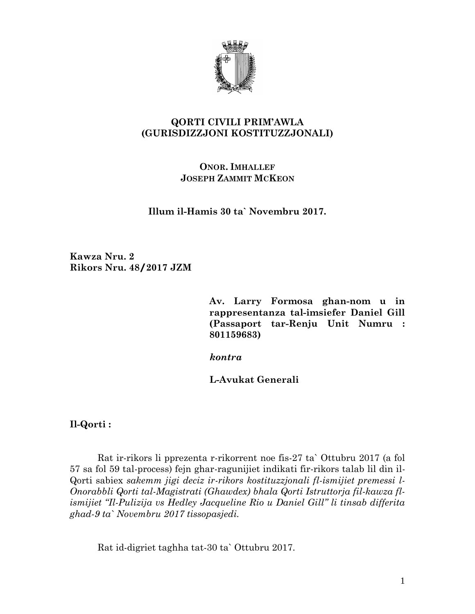

## **QORTI CIVILI PRIM'AWLA (GURISDIZZJONI KOSTITUZZJONALI)**

## **ONOR. IMHALLEF JOSEPH ZAMMIT MCKEON**

**Illum il-Hamis 30 ta` Novembru 2017.**

**Kawza Nru. 2 Rikors Nru. 48/2017 JZM**

> **Av. Larry Formosa ghan-nom u in rappresentanza tal-imsiefer Daniel Gill (Passaport tar-Renju Unit Numru : 801159683)**

*kontra*

**L-Avukat Generali** 

**Il-Qorti :**

Rat ir-rikors li pprezenta r-rikorrent noe fis-27 ta` Ottubru 2017 (a fol 57 sa fol 59 tal-process) fejn ghar-ragunijiet indikati fir-rikors talab lil din il-Qorti sabiex *sakemm jigi deciz ir-rikors kostituzzjonali fl-ismijiet premessi l-Onorabbli Qorti tal-Magistrati (Ghawdex) bhala Qorti Istruttorja fil-kawza flismijiet "Il-Pulizija vs Hedley Jacqueline Rio u Daniel Gill" li tinsab differita ghad-9 ta` Novembru 2017 tissopasjedi.*

Rat id-digriet taghha tat-30 ta` Ottubru 2017.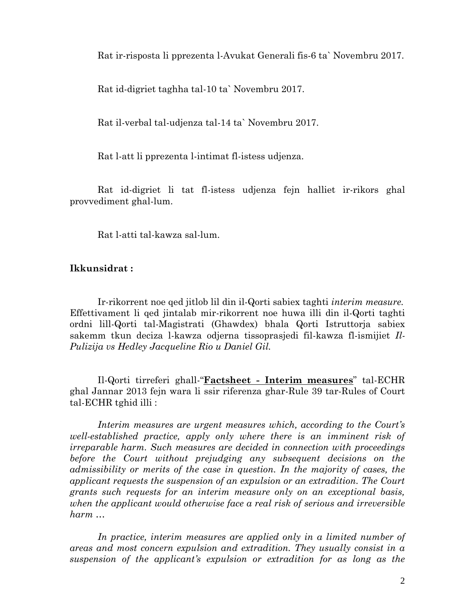Rat ir-risposta li pprezenta l-Avukat Generali fis-6 ta` Novembru 2017.

Rat id-digriet taghha tal-10 ta` Novembru 2017.

Rat il-verbal tal-udjenza tal-14 ta` Novembru 2017.

Rat l-att li pprezenta l-intimat fl-istess udjenza.

Rat id-digriet li tat fl-istess udjenza fejn halliet ir-rikors ghal provvediment ghal-lum.

Rat l-atti tal-kawza sal-lum.

## **Ikkunsidrat :**

Ir-rikorrent noe qed jitlob lil din il-Qorti sabiex taghti *interim measure.* Effettivament li qed jintalab mir-rikorrent noe huwa illi din il-Qorti taghti ordni lill-Qorti tal-Magistrati (Ghawdex) bhala Qorti Istruttorja sabiex sakemm tkun deciza l-kawza odjerna tissoprasjedi fil-kawza fl-ismijiet *Il-Pulizija vs Hedley Jacqueline Rio u Daniel Gil.*

Il-Qorti tirreferi ghall-"**Factsheet - Interim measures**" tal-ECHR ghal Jannar 2013 fejn wara li ssir riferenza ghar-Rule 39 tar-Rules of Court tal-ECHR tghid illi :

*Interim measures are urgent measures which, according to the Court's well-established practice, apply only where there is an imminent risk of irreparable harm. Such measures are decided in connection with proceedings before the Court without prejudging any subsequent decisions on the admissibility or merits of the case in question. In the majority of cases, the applicant requests the suspension of an expulsion or an extradition. The Court grants such requests for an interim measure only on an exceptional basis, when the applicant would otherwise face a real risk of serious and irreversible harm …* 

In practice, interim measures are applied only in a limited number of *areas and most concern expulsion and extradition. They usually consist in a suspension of the applicant's expulsion or extradition for as long as the*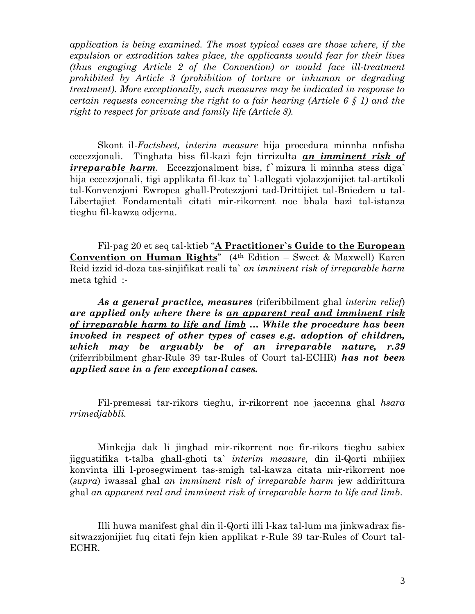*application is being examined. The most typical cases are those where, if the expulsion or extradition takes place, the applicants would fear for their lives (thus engaging Article 2 of the Convention) or would face ill-treatment prohibited by Article 3 (prohibition of torture or inhuman or degrading treatment). More exceptionally, such measures may be indicated in response to certain requests concerning the right to a fair hearing (Article 6 § 1) and the right to respect for private and family life (Article 8).*

Skont il-*Factsheet, interim measure* hija procedura minnha nnfisha eccezzjonali. Tinghata biss fil-kazi fejn tirrizulta *an imminent risk of irreparable harm.* Eccezzjonalment biss, f'mizura li minnha stess diga' hija eccezzjonali, tigi applikata fil-kaz ta` l-allegati vjolazzjonijiet tal-artikoli tal-Konvenzjoni Ewropea ghall-Protezzjoni tad-Drittijiet tal-Bniedem u tal-Libertajiet Fondamentali citati mir-rikorrent noe bhala bazi tal-istanza tieghu fil-kawza odjerna.

Fil-pag 20 et seq tal-ktieb "**A Practitioner`s Guide to the European Convention on Human Rights**" (4th Edition – Sweet & Maxwell) Karen Reid izzid id-doza tas-sinjifikat reali ta` *an imminent risk of irreparable harm*  meta tghid :-

*As a general practice, measures* (riferibbilment ghal *interim relief*) *are applied only where there is an apparent real and imminent risk of irreparable harm to life and limb … While the procedure has been invoked in respect of other types of cases e.g. adoption of children, which may be arguably be of an irreparable nature, r.39*  (riferribbilment ghar-Rule 39 tar-Rules of Court tal-ECHR) *has not been applied save in a few exceptional cases.* 

Fil-premessi tar-rikors tieghu, ir-rikorrent noe jaccenna ghal *hsara rrimedjabbli.*

Minkejja dak li jinghad mir-rikorrent noe fir-rikors tieghu sabiex jiggustifika t-talba ghall-ghoti ta` *interim measure,* din il-Qorti mhijiex konvinta illi l-prosegwiment tas-smigh tal-kawza citata mir-rikorrent noe (*supra*) iwassal ghal *an imminent risk of irreparable harm* jew addirittura ghal *an apparent real and imminent risk of irreparable harm to life and limb.*

Illi huwa manifest ghal din il-Qorti illi l-kaz tal-lum ma jinkwadrax fissitwazzjonijiet fuq citati fejn kien applikat r-Rule 39 tar-Rules of Court tal-ECHR.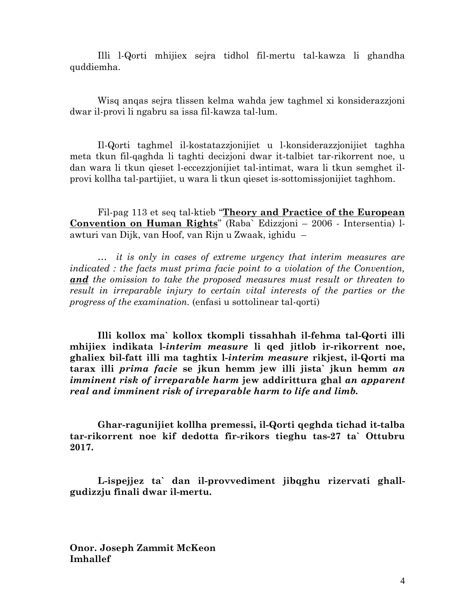Illi l-Qorti mhijiex sejra tidhol fil-mertu tal-kawza li ghandha quddiemha.

Wisq anqas sejra tlissen kelma wahda jew taghmel xi konsiderazzjoni dwar il-provi li ngabru sa issa fil-kawza tal-lum.

Il-Qorti taghmel il-kostatazzjonijiet u l-konsiderazzjonijiet taghha meta tkun fil-qaghda li taghti decizjoni dwar it-talbiet tar-rikorrent noe, u dan wara li tkun qieset l-eccezzjonijiet tal-intimat, wara li tkun semghet ilprovi kollha tal-partijiet, u wara li tkun qieset is-sottomissjonijiet taghhom.

Fil-pag 113 et seq tal-ktieb "**Theory and Practice of the European Convention on Human Rights**" (Raba` Edizzjoni – 2006 - Intersentia) lawturi van Dijk, van Hoof, van Rijn u Zwaak, ighidu –

*… it is only in cases of extreme urgency that interim measures are indicated : the facts must prima facie point to a violation of the Convention, and the omission to take the proposed measures must result or threaten to result in irreparable injury to certain vital interests of the parties or the progress of the examination.* (enfasi u sottolinear tal-qorti)

**Illi kollox ma` kollox tkompli tissahhah il-fehma tal-Qorti illi mhijiex indikata l-***interim measure* **li qed jitlob ir-rikorrent noe, ghaliex bil-fatt illi ma taghtix l-***interim measure* **rikjest, il-Qorti ma tarax illi** *prima facie* **se jkun hemm jew illi jista` jkun hemm** *an imminent risk of irreparable harm* **jew addirittura ghal** *an apparent real and imminent risk of irreparable harm to life and limb.*

**Ghar-ragunijiet kollha premessi, il-Qorti qeghda tichad it-talba tar-rikorrent noe kif dedotta fir-rikors tieghu tas-27 ta` Ottubru 2017.** 

**L-ispejjez ta` dan il-provvediment jibqghu rizervati ghallgudizzju finali dwar il-mertu.**

**Onor. Joseph Zammit McKeon Imhallef**